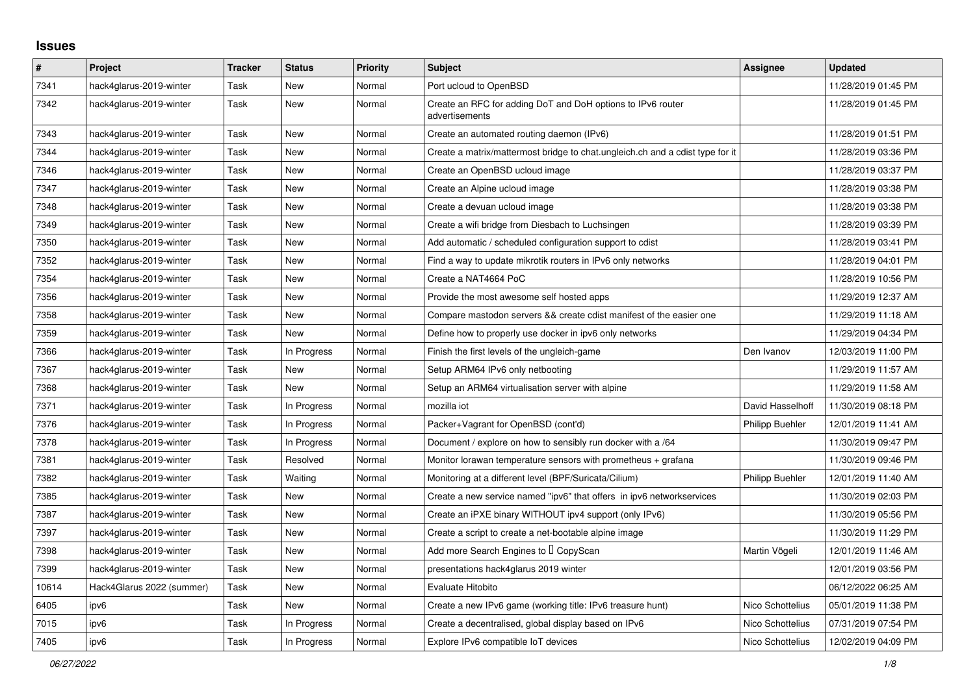## **Issues**

| $\vert$ # | Project                   | <b>Tracker</b> | <b>Status</b> | <b>Priority</b> | <b>Subject</b>                                                                | <b>Assignee</b>  | <b>Updated</b>      |
|-----------|---------------------------|----------------|---------------|-----------------|-------------------------------------------------------------------------------|------------------|---------------------|
| 7341      | hack4glarus-2019-winter   | Task           | <b>New</b>    | Normal          | Port ucloud to OpenBSD                                                        |                  | 11/28/2019 01:45 PM |
| 7342      | hack4glarus-2019-winter   | Task           | <b>New</b>    | Normal          | Create an RFC for adding DoT and DoH options to IPv6 router<br>advertisements |                  | 11/28/2019 01:45 PM |
| 7343      | hack4glarus-2019-winter   | Task           | <b>New</b>    | Normal          | Create an automated routing daemon (IPv6)                                     |                  | 11/28/2019 01:51 PM |
| 7344      | hack4glarus-2019-winter   | Task           | <b>New</b>    | Normal          | Create a matrix/mattermost bridge to chat.ungleich.ch and a cdist type for it |                  | 11/28/2019 03:36 PM |
| 7346      | hack4glarus-2019-winter   | Task           | <b>New</b>    | Normal          | Create an OpenBSD ucloud image                                                |                  | 11/28/2019 03:37 PM |
| 7347      | hack4glarus-2019-winter   | Task           | <b>New</b>    | Normal          | Create an Alpine ucloud image                                                 |                  | 11/28/2019 03:38 PM |
| 7348      | hack4glarus-2019-winter   | Task           | <b>New</b>    | Normal          | Create a devuan ucloud image                                                  |                  | 11/28/2019 03:38 PM |
| 7349      | hack4glarus-2019-winter   | Task           | New           | Normal          | Create a wifi bridge from Diesbach to Luchsingen                              |                  | 11/28/2019 03:39 PM |
| 7350      | hack4glarus-2019-winter   | Task           | New           | Normal          | Add automatic / scheduled configuration support to cdist                      |                  | 11/28/2019 03:41 PM |
| 7352      | hack4glarus-2019-winter   | Task           | <b>New</b>    | Normal          | Find a way to update mikrotik routers in IPv6 only networks                   |                  | 11/28/2019 04:01 PM |
| 7354      | hack4glarus-2019-winter   | Task           | <b>New</b>    | Normal          | Create a NAT4664 PoC                                                          |                  | 11/28/2019 10:56 PM |
| 7356      | hack4glarus-2019-winter   | Task           | <b>New</b>    | Normal          | Provide the most awesome self hosted apps                                     |                  | 11/29/2019 12:37 AM |
| 7358      | hack4glarus-2019-winter   | Task           | <b>New</b>    | Normal          | Compare mastodon servers && create cdist manifest of the easier one           |                  | 11/29/2019 11:18 AM |
| 7359      | hack4glarus-2019-winter   | Task           | <b>New</b>    | Normal          | Define how to properly use docker in ipv6 only networks                       |                  | 11/29/2019 04:34 PM |
| 7366      | hack4glarus-2019-winter   | Task           | In Progress   | Normal          | Finish the first levels of the ungleich-game                                  | Den Ivanov       | 12/03/2019 11:00 PM |
| 7367      | hack4glarus-2019-winter   | Task           | New           | Normal          | Setup ARM64 IPv6 only netbooting                                              |                  | 11/29/2019 11:57 AM |
| 7368      | hack4glarus-2019-winter   | Task           | <b>New</b>    | Normal          | Setup an ARM64 virtualisation server with alpine                              |                  | 11/29/2019 11:58 AM |
| 7371      | hack4glarus-2019-winter   | Task           | In Progress   | Normal          | mozilla iot                                                                   | David Hasselhoff | 11/30/2019 08:18 PM |
| 7376      | hack4glarus-2019-winter   | Task           | In Progress   | Normal          | Packer+Vagrant for OpenBSD (cont'd)                                           | Philipp Buehler  | 12/01/2019 11:41 AM |
| 7378      | hack4glarus-2019-winter   | Task           | In Progress   | Normal          | Document / explore on how to sensibly run docker with a /64                   |                  | 11/30/2019 09:47 PM |
| 7381      | hack4glarus-2019-winter   | Task           | Resolved      | Normal          | Monitor lorawan temperature sensors with prometheus $+$ grafana               |                  | 11/30/2019 09:46 PM |
| 7382      | hack4glarus-2019-winter   | Task           | Waiting       | Normal          | Monitoring at a different level (BPF/Suricata/Cilium)                         | Philipp Buehler  | 12/01/2019 11:40 AM |
| 7385      | hack4glarus-2019-winter   | Task           | <b>New</b>    | Normal          | Create a new service named "ipv6" that offers in ipv6 networkservices         |                  | 11/30/2019 02:03 PM |
| 7387      | hack4glarus-2019-winter   | Task           | <b>New</b>    | Normal          | Create an iPXE binary WITHOUT ipv4 support (only IPv6)                        |                  | 11/30/2019 05:56 PM |
| 7397      | hack4glarus-2019-winter   | Task           | <b>New</b>    | Normal          | Create a script to create a net-bootable alpine image                         |                  | 11/30/2019 11:29 PM |
| 7398      | hack4glarus-2019-winter   | Task           | <b>New</b>    | Normal          | Add more Search Engines to I CopyScan                                         | Martin Vögeli    | 12/01/2019 11:46 AM |
| 7399      | hack4glarus-2019-winter   | Task           | <b>New</b>    | Normal          | presentations hack4glarus 2019 winter                                         |                  | 12/01/2019 03:56 PM |
| 10614     | Hack4Glarus 2022 (summer) | Task           | <b>New</b>    | Normal          | Evaluate Hitobito                                                             |                  | 06/12/2022 06:25 AM |
| 6405      | ipv6                      | Task           | New           | Normal          | Create a new IPv6 game (working title: IPv6 treasure hunt)                    | Nico Schottelius | 05/01/2019 11:38 PM |
| 7015      | ipv6                      | Task           | In Progress   | Normal          | Create a decentralised, global display based on IPv6                          | Nico Schottelius | 07/31/2019 07:54 PM |
| 7405      | ipv6                      | Task           | In Progress   | Normal          | Explore IPv6 compatible IoT devices                                           | Nico Schottelius | 12/02/2019 04:09 PM |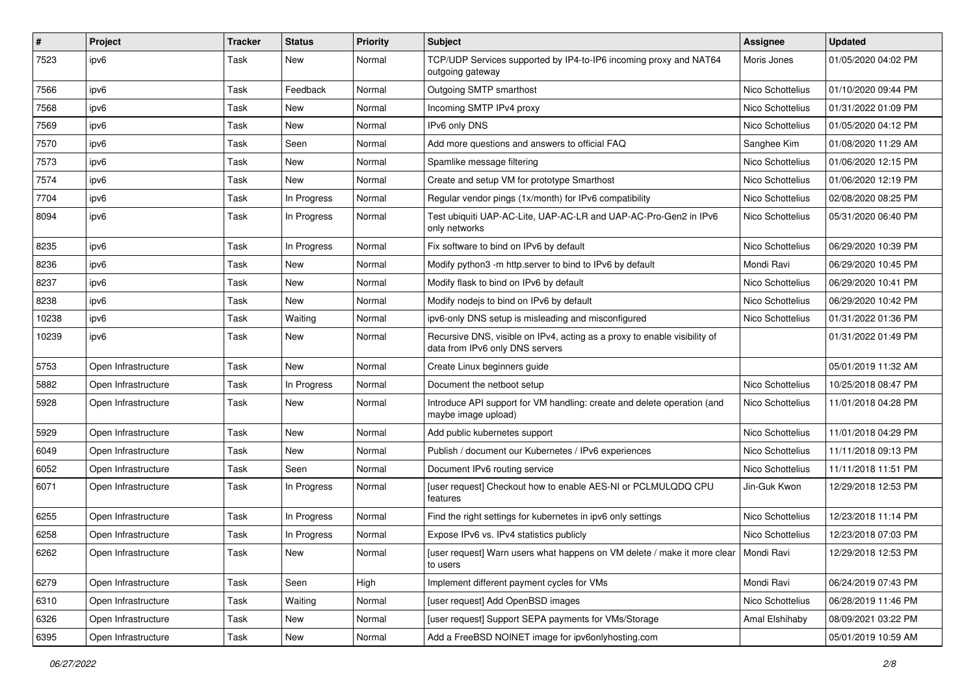| $\vert$ # | Project             | <b>Tracker</b> | <b>Status</b> | <b>Priority</b> | Subject                                                                                                      | <b>Assignee</b>  | <b>Updated</b>      |
|-----------|---------------------|----------------|---------------|-----------------|--------------------------------------------------------------------------------------------------------------|------------------|---------------------|
| 7523      | ipv6                | Task           | New           | Normal          | TCP/UDP Services supported by IP4-to-IP6 incoming proxy and NAT64<br>outgoing gateway                        | Moris Jones      | 01/05/2020 04:02 PM |
| 7566      | ipv6                | Task           | Feedback      | Normal          | Outgoing SMTP smarthost                                                                                      | Nico Schottelius | 01/10/2020 09:44 PM |
| 7568      | ipv6                | Task           | New           | Normal          | Incoming SMTP IPv4 proxy                                                                                     | Nico Schottelius | 01/31/2022 01:09 PM |
| 7569      | ipv6                | Task           | New           | Normal          | IPv6 only DNS                                                                                                | Nico Schottelius | 01/05/2020 04:12 PM |
| 7570      | ipv6                | Task           | Seen          | Normal          | Add more questions and answers to official FAQ                                                               | Sanghee Kim      | 01/08/2020 11:29 AM |
| 7573      | ipv6                | Task           | <b>New</b>    | Normal          | Spamlike message filtering                                                                                   | Nico Schottelius | 01/06/2020 12:15 PM |
| 7574      | ipv6                | Task           | New           | Normal          | Create and setup VM for prototype Smarthost                                                                  | Nico Schottelius | 01/06/2020 12:19 PM |
| 7704      | ipv6                | Task           | In Progress   | Normal          | Regular vendor pings (1x/month) for IPv6 compatibility                                                       | Nico Schottelius | 02/08/2020 08:25 PM |
| 8094      | ipv6                | Task           | In Progress   | Normal          | Test ubiquiti UAP-AC-Lite, UAP-AC-LR and UAP-AC-Pro-Gen2 in IPv6<br>only networks                            | Nico Schottelius | 05/31/2020 06:40 PM |
| 8235      | ipv6                | Task           | In Progress   | Normal          | Fix software to bind on IPv6 by default                                                                      | Nico Schottelius | 06/29/2020 10:39 PM |
| 8236      | ipv6                | Task           | <b>New</b>    | Normal          | Modify python3 -m http.server to bind to IPv6 by default                                                     | Mondi Ravi       | 06/29/2020 10:45 PM |
| 8237      | ipv6                | Task           | New           | Normal          | Modify flask to bind on IPv6 by default                                                                      | Nico Schottelius | 06/29/2020 10:41 PM |
| 8238      | ipv6                | Task           | <b>New</b>    | Normal          | Modify nodejs to bind on IPv6 by default                                                                     | Nico Schottelius | 06/29/2020 10:42 PM |
| 10238     | ipv6                | Task           | Waiting       | Normal          | ipv6-only DNS setup is misleading and misconfigured                                                          | Nico Schottelius | 01/31/2022 01:36 PM |
| 10239     | ipv6                | Task           | New           | Normal          | Recursive DNS, visible on IPv4, acting as a proxy to enable visibility of<br>data from IPv6 only DNS servers |                  | 01/31/2022 01:49 PM |
| 5753      | Open Infrastructure | Task           | <b>New</b>    | Normal          | Create Linux beginners guide                                                                                 |                  | 05/01/2019 11:32 AM |
| 5882      | Open Infrastructure | Task           | In Progress   | Normal          | Document the netboot setup                                                                                   | Nico Schottelius | 10/25/2018 08:47 PM |
| 5928      | Open Infrastructure | Task           | <b>New</b>    | Normal          | Introduce API support for VM handling: create and delete operation (and<br>maybe image upload)               | Nico Schottelius | 11/01/2018 04:28 PM |
| 5929      | Open Infrastructure | Task           | <b>New</b>    | Normal          | Add public kubernetes support                                                                                | Nico Schottelius | 11/01/2018 04:29 PM |
| 6049      | Open Infrastructure | Task           | New           | Normal          | Publish / document our Kubernetes / IPv6 experiences                                                         | Nico Schottelius | 11/11/2018 09:13 PM |
| 6052      | Open Infrastructure | Task           | Seen          | Normal          | Document IPv6 routing service                                                                                | Nico Schottelius | 11/11/2018 11:51 PM |
| 6071      | Open Infrastructure | Task           | In Progress   | Normal          | [user request] Checkout how to enable AES-NI or PCLMULQDQ CPU<br>features                                    | Jin-Guk Kwon     | 12/29/2018 12:53 PM |
| 6255      | Open Infrastructure | Task           | In Progress   | Normal          | Find the right settings for kubernetes in ipv6 only settings                                                 | Nico Schottelius | 12/23/2018 11:14 PM |
| 6258      | Open Infrastructure | Task           | In Progress   | Normal          | Expose IPv6 vs. IPv4 statistics publicly                                                                     | Nico Schottelius | 12/23/2018 07:03 PM |
| 6262      | Open Infrastructure | Task           | New           | Normal          | [user request] Warn users what happens on VM delete / make it more clear   Mondi Ravi<br>to users            |                  | 12/29/2018 12:53 PM |
| 6279      | Open Infrastructure | Task           | Seen          | High            | Implement different payment cycles for VMs                                                                   | Mondi Ravi       | 06/24/2019 07:43 PM |
| 6310      | Open Infrastructure | Task           | Waiting       | Normal          | [user request] Add OpenBSD images                                                                            | Nico Schottelius | 06/28/2019 11:46 PM |
| 6326      | Open Infrastructure | Task           | New           | Normal          | [user request] Support SEPA payments for VMs/Storage                                                         | Amal Elshihaby   | 08/09/2021 03:22 PM |
| 6395      | Open Infrastructure | Task           | New           | Normal          | Add a FreeBSD NOINET image for ipv6onlyhosting.com                                                           |                  | 05/01/2019 10:59 AM |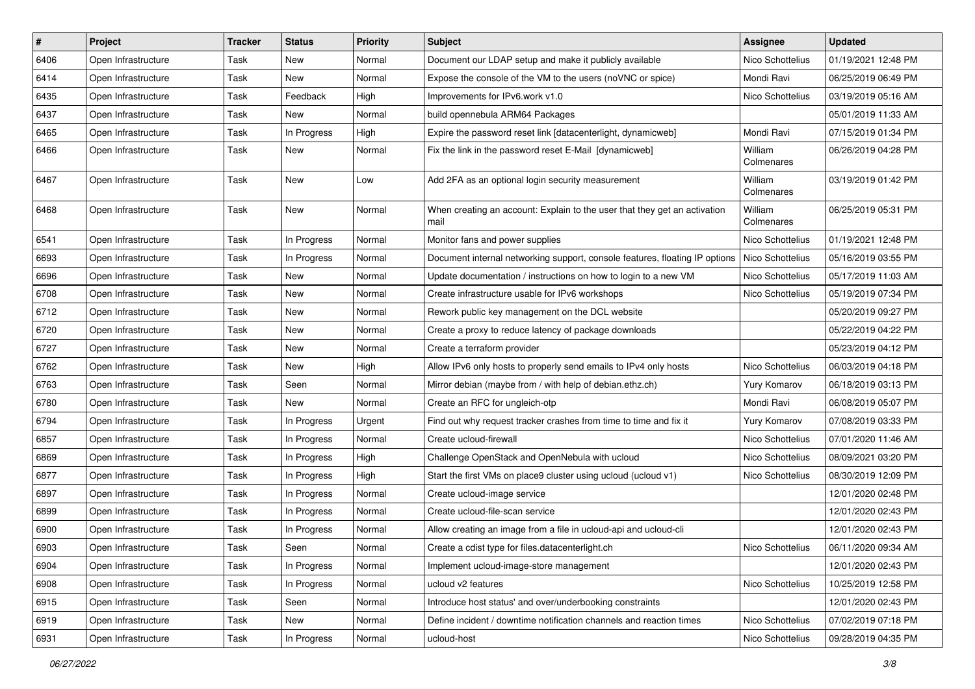| $\vert$ # | Project             | <b>Tracker</b> | <b>Status</b> | <b>Priority</b> | Subject                                                                           | <b>Assignee</b>       | <b>Updated</b>      |
|-----------|---------------------|----------------|---------------|-----------------|-----------------------------------------------------------------------------------|-----------------------|---------------------|
| 6406      | Open Infrastructure | Task           | New           | Normal          | Document our LDAP setup and make it publicly available                            | Nico Schottelius      | 01/19/2021 12:48 PM |
| 6414      | Open Infrastructure | Task           | New           | Normal          | Expose the console of the VM to the users (noVNC or spice)                        | Mondi Ravi            | 06/25/2019 06:49 PM |
| 6435      | Open Infrastructure | Task           | Feedback      | High            | Improvements for IPv6.work v1.0                                                   | Nico Schottelius      | 03/19/2019 05:16 AM |
| 6437      | Open Infrastructure | Task           | New           | Normal          | build opennebula ARM64 Packages                                                   |                       | 05/01/2019 11:33 AM |
| 6465      | Open Infrastructure | Task           | In Progress   | High            | Expire the password reset link [datacenterlight, dynamicweb]                      | Mondi Ravi            | 07/15/2019 01:34 PM |
| 6466      | Open Infrastructure | Task           | New           | Normal          | Fix the link in the password reset E-Mail [dynamicweb]                            | William<br>Colmenares | 06/26/2019 04:28 PM |
| 6467      | Open Infrastructure | Task           | New           | Low             | Add 2FA as an optional login security measurement                                 | William<br>Colmenares | 03/19/2019 01:42 PM |
| 6468      | Open Infrastructure | Task           | New           | Normal          | When creating an account: Explain to the user that they get an activation<br>mail | William<br>Colmenares | 06/25/2019 05:31 PM |
| 6541      | Open Infrastructure | Task           | In Progress   | Normal          | Monitor fans and power supplies                                                   | Nico Schottelius      | 01/19/2021 12:48 PM |
| 6693      | Open Infrastructure | Task           | In Progress   | Normal          | Document internal networking support, console features, floating IP options       | Nico Schottelius      | 05/16/2019 03:55 PM |
| 6696      | Open Infrastructure | Task           | New           | Normal          | Update documentation / instructions on how to login to a new VM                   | Nico Schottelius      | 05/17/2019 11:03 AM |
| 6708      | Open Infrastructure | Task           | New           | Normal          | Create infrastructure usable for IPv6 workshops                                   | Nico Schottelius      | 05/19/2019 07:34 PM |
| 6712      | Open Infrastructure | Task           | New           | Normal          | Rework public key management on the DCL website                                   |                       | 05/20/2019 09:27 PM |
| 6720      | Open Infrastructure | Task           | New           | Normal          | Create a proxy to reduce latency of package downloads                             |                       | 05/22/2019 04:22 PM |
| 6727      | Open Infrastructure | Task           | New           | Normal          | Create a terraform provider                                                       |                       | 05/23/2019 04:12 PM |
| 6762      | Open Infrastructure | Task           | New           | High            | Allow IPv6 only hosts to properly send emails to IPv4 only hosts                  | Nico Schottelius      | 06/03/2019 04:18 PM |
| 6763      | Open Infrastructure | Task           | Seen          | Normal          | Mirror debian (maybe from / with help of debian.ethz.ch)                          | Yury Komarov          | 06/18/2019 03:13 PM |
| 6780      | Open Infrastructure | Task           | New           | Normal          | Create an RFC for ungleich-otp                                                    | Mondi Ravi            | 06/08/2019 05:07 PM |
| 6794      | Open Infrastructure | Task           | In Progress   | Urgent          | Find out why request tracker crashes from time to time and fix it                 | Yury Komarov          | 07/08/2019 03:33 PM |
| 6857      | Open Infrastructure | Task           | In Progress   | Normal          | Create ucloud-firewall                                                            | Nico Schottelius      | 07/01/2020 11:46 AM |
| 6869      | Open Infrastructure | Task           | In Progress   | High            | Challenge OpenStack and OpenNebula with ucloud                                    | Nico Schottelius      | 08/09/2021 03:20 PM |
| 6877      | Open Infrastructure | Task           | In Progress   | High            | Start the first VMs on place9 cluster using ucloud (ucloud v1)                    | Nico Schottelius      | 08/30/2019 12:09 PM |
| 6897      | Open Infrastructure | Task           | In Progress   | Normal          | Create ucloud-image service                                                       |                       | 12/01/2020 02:48 PM |
| 6899      | Open Infrastructure | Task           | In Progress   | Normal          | Create ucloud-file-scan service                                                   |                       | 12/01/2020 02:43 PM |
| 6900      | Open Infrastructure | Task           | In Progress   | Normal          | Allow creating an image from a file in ucloud-api and ucloud-cli                  |                       | 12/01/2020 02:43 PM |
| 6903      | Open Infrastructure | Task           | Seen          | Normal          | Create a cdist type for files.datacenterlight.ch                                  | Nico Schottelius      | 06/11/2020 09:34 AM |
| 6904      | Open Infrastructure | Task           | In Progress   | Normal          | Implement ucloud-image-store management                                           |                       | 12/01/2020 02:43 PM |
| 6908      | Open Infrastructure | Task           | In Progress   | Normal          | ucloud v2 features                                                                | Nico Schottelius      | 10/25/2019 12:58 PM |
| 6915      | Open Infrastructure | Task           | Seen          | Normal          | Introduce host status' and over/underbooking constraints                          |                       | 12/01/2020 02:43 PM |
| 6919      | Open Infrastructure | Task           | New           | Normal          | Define incident / downtime notification channels and reaction times               | Nico Schottelius      | 07/02/2019 07:18 PM |
| 6931      | Open Infrastructure | Task           | In Progress   | Normal          | ucloud-host                                                                       | Nico Schottelius      | 09/28/2019 04:35 PM |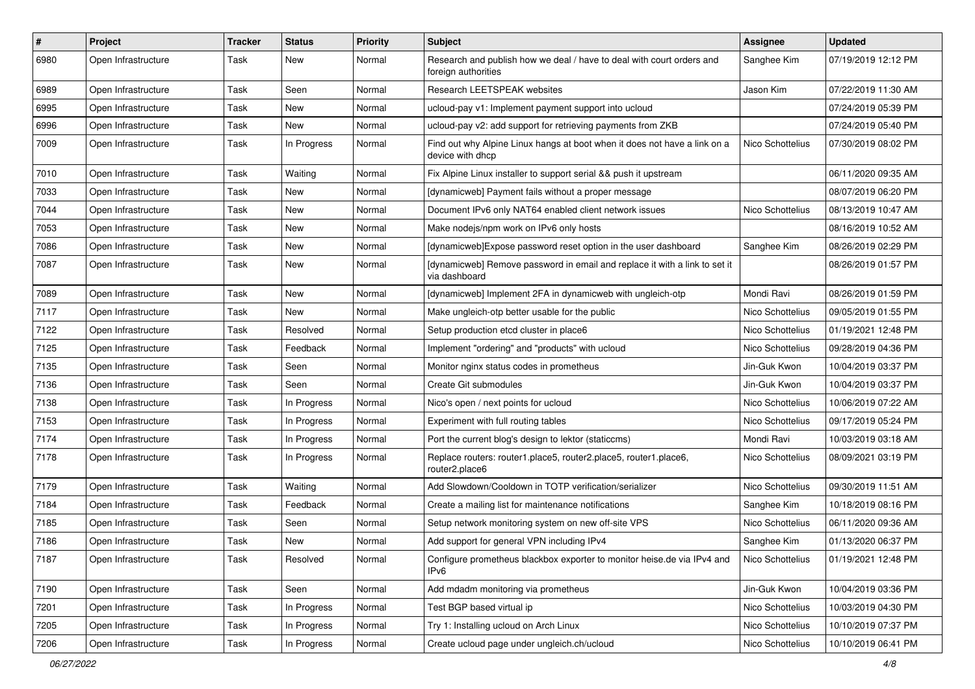| $\pmb{\#}$ | Project             | <b>Tracker</b> | <b>Status</b> | <b>Priority</b> | <b>Subject</b>                                                                                | <b>Assignee</b>  | <b>Updated</b>      |
|------------|---------------------|----------------|---------------|-----------------|-----------------------------------------------------------------------------------------------|------------------|---------------------|
| 6980       | Open Infrastructure | Task           | New           | Normal          | Research and publish how we deal / have to deal with court orders and<br>foreign authorities  | Sanghee Kim      | 07/19/2019 12:12 PM |
| 6989       | Open Infrastructure | Task           | Seen          | Normal          | Research LEETSPEAK websites                                                                   | Jason Kim        | 07/22/2019 11:30 AM |
| 6995       | Open Infrastructure | Task           | New           | Normal          | ucloud-pay v1: Implement payment support into ucloud                                          |                  | 07/24/2019 05:39 PM |
| 6996       | Open Infrastructure | Task           | <b>New</b>    | Normal          | ucloud-pay v2: add support for retrieving payments from ZKB                                   |                  | 07/24/2019 05:40 PM |
| 7009       | Open Infrastructure | Task           | In Progress   | Normal          | Find out why Alpine Linux hangs at boot when it does not have a link on a<br>device with dhcp | Nico Schottelius | 07/30/2019 08:02 PM |
| 7010       | Open Infrastructure | Task           | Waiting       | Normal          | Fix Alpine Linux installer to support serial && push it upstream                              |                  | 06/11/2020 09:35 AM |
| 7033       | Open Infrastructure | Task           | New           | Normal          | [dynamicweb] Payment fails without a proper message                                           |                  | 08/07/2019 06:20 PM |
| 7044       | Open Infrastructure | Task           | <b>New</b>    | Normal          | Document IPv6 only NAT64 enabled client network issues                                        | Nico Schottelius | 08/13/2019 10:47 AM |
| 7053       | Open Infrastructure | Task           | New           | Normal          | Make nodejs/npm work on IPv6 only hosts                                                       |                  | 08/16/2019 10:52 AM |
| 7086       | Open Infrastructure | Task           | New           | Normal          | [dynamicweb]Expose password reset option in the user dashboard                                | Sanghee Kim      | 08/26/2019 02:29 PM |
| 7087       | Open Infrastructure | Task           | New           | Normal          | [dynamicweb] Remove password in email and replace it with a link to set it<br>via dashboard   |                  | 08/26/2019 01:57 PM |
| 7089       | Open Infrastructure | Task           | <b>New</b>    | Normal          | [dynamicweb] Implement 2FA in dynamicweb with ungleich-otp                                    | Mondi Ravi       | 08/26/2019 01:59 PM |
| 7117       | Open Infrastructure | Task           | New           | Normal          | Make ungleich-otp better usable for the public                                                | Nico Schottelius | 09/05/2019 01:55 PM |
| 7122       | Open Infrastructure | Task           | Resolved      | Normal          | Setup production etcd cluster in place6                                                       | Nico Schottelius | 01/19/2021 12:48 PM |
| 7125       | Open Infrastructure | Task           | Feedback      | Normal          | Implement "ordering" and "products" with ucloud                                               | Nico Schottelius | 09/28/2019 04:36 PM |
| 7135       | Open Infrastructure | Task           | Seen          | Normal          | Monitor nginx status codes in prometheus                                                      | Jin-Guk Kwon     | 10/04/2019 03:37 PM |
| 7136       | Open Infrastructure | Task           | Seen          | Normal          | Create Git submodules                                                                         | Jin-Guk Kwon     | 10/04/2019 03:37 PM |
| 7138       | Open Infrastructure | Task           | In Progress   | Normal          | Nico's open / next points for ucloud                                                          | Nico Schottelius | 10/06/2019 07:22 AM |
| 7153       | Open Infrastructure | Task           | In Progress   | Normal          | Experiment with full routing tables                                                           | Nico Schottelius | 09/17/2019 05:24 PM |
| 7174       | Open Infrastructure | Task           | In Progress   | Normal          | Port the current blog's design to lektor (staticcms)                                          | Mondi Ravi       | 10/03/2019 03:18 AM |
| 7178       | Open Infrastructure | Task           | In Progress   | Normal          | Replace routers: router1.place5, router2.place5, router1.place6,<br>router2.place6            | Nico Schottelius | 08/09/2021 03:19 PM |
| 7179       | Open Infrastructure | Task           | Waiting       | Normal          | Add Slowdown/Cooldown in TOTP verification/serializer                                         | Nico Schottelius | 09/30/2019 11:51 AM |
| 7184       | Open Infrastructure | Task           | Feedback      | Normal          | Create a mailing list for maintenance notifications                                           | Sanghee Kim      | 10/18/2019 08:16 PM |
| 7185       | Open Infrastructure | Task           | Seen          | Normal          | Setup network monitoring system on new off-site VPS                                           | Nico Schottelius | 06/11/2020 09:36 AM |
| 7186       | Open Infrastructure | Task           | New           | Normal          | Add support for general VPN including IPv4                                                    | Sanghee Kim      | 01/13/2020 06:37 PM |
| 7187       | Open Infrastructure | Task           | Resolved      | Normal          | Configure prometheus blackbox exporter to monitor heise.de via IPv4 and<br>IP <sub>v6</sub>   | Nico Schottelius | 01/19/2021 12:48 PM |
| 7190       | Open Infrastructure | Task           | Seen          | Normal          | Add mdadm monitoring via prometheus                                                           | Jin-Guk Kwon     | 10/04/2019 03:36 PM |
| 7201       | Open Infrastructure | Task           | In Progress   | Normal          | Test BGP based virtual ip                                                                     | Nico Schottelius | 10/03/2019 04:30 PM |
| 7205       | Open Infrastructure | Task           | In Progress   | Normal          | Try 1: Installing ucloud on Arch Linux                                                        | Nico Schottelius | 10/10/2019 07:37 PM |
| 7206       | Open Infrastructure | Task           | In Progress   | Normal          | Create ucloud page under ungleich.ch/ucloud                                                   | Nico Schottelius | 10/10/2019 06:41 PM |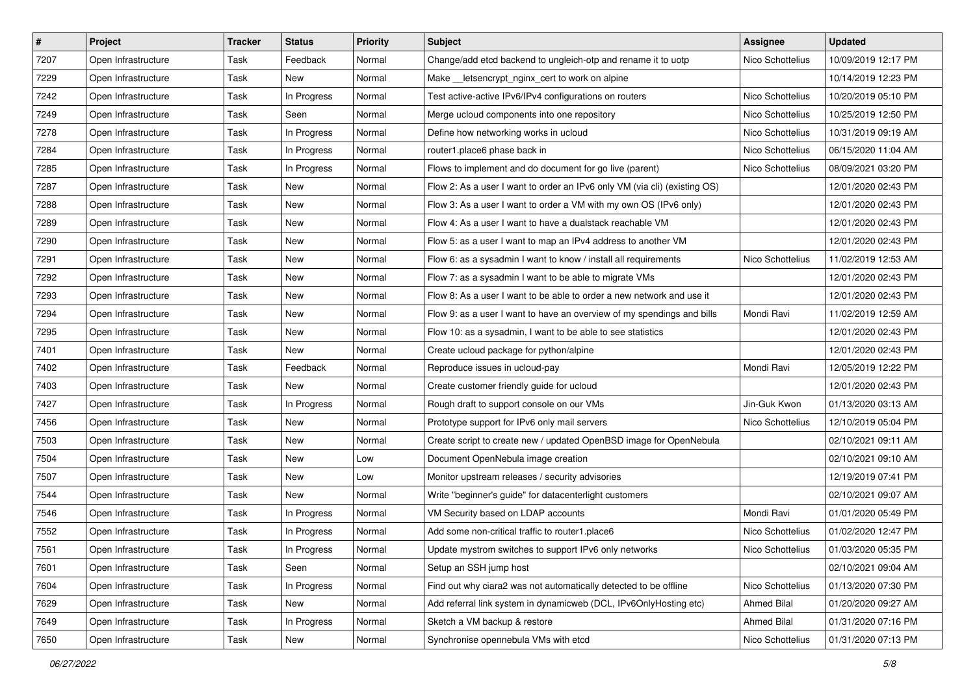| #    | Project             | <b>Tracker</b> | <b>Status</b> | <b>Priority</b> | Subject                                                                   | <b>Assignee</b>    | <b>Updated</b>      |
|------|---------------------|----------------|---------------|-----------------|---------------------------------------------------------------------------|--------------------|---------------------|
| 7207 | Open Infrastructure | Task           | Feedback      | Normal          | Change/add etcd backend to ungleich-otp and rename it to uotp             | Nico Schottelius   | 10/09/2019 12:17 PM |
| 7229 | Open Infrastructure | Task           | New           | Normal          | Make __ letsencrypt_nginx_cert to work on alpine                          |                    | 10/14/2019 12:23 PM |
| 7242 | Open Infrastructure | Task           | In Progress   | Normal          | Test active-active IPv6/IPv4 configurations on routers                    | Nico Schottelius   | 10/20/2019 05:10 PM |
| 7249 | Open Infrastructure | Task           | Seen          | Normal          | Merge ucloud components into one repository                               | Nico Schottelius   | 10/25/2019 12:50 PM |
| 7278 | Open Infrastructure | Task           | In Progress   | Normal          | Define how networking works in ucloud                                     | Nico Schottelius   | 10/31/2019 09:19 AM |
| 7284 | Open Infrastructure | Task           | In Progress   | Normal          | router1.place6 phase back in                                              | Nico Schottelius   | 06/15/2020 11:04 AM |
| 7285 | Open Infrastructure | Task           | In Progress   | Normal          | Flows to implement and do document for go live (parent)                   | Nico Schottelius   | 08/09/2021 03:20 PM |
| 7287 | Open Infrastructure | Task           | New           | Normal          | Flow 2: As a user I want to order an IPv6 only VM (via cli) (existing OS) |                    | 12/01/2020 02:43 PM |
| 7288 | Open Infrastructure | Task           | New           | Normal          | Flow 3: As a user I want to order a VM with my own OS (IPv6 only)         |                    | 12/01/2020 02:43 PM |
| 7289 | Open Infrastructure | Task           | <b>New</b>    | Normal          | Flow 4: As a user I want to have a dualstack reachable VM                 |                    | 12/01/2020 02:43 PM |
| 7290 | Open Infrastructure | Task           | New           | Normal          | Flow 5: as a user I want to map an IPv4 address to another VM             |                    | 12/01/2020 02:43 PM |
| 7291 | Open Infrastructure | Task           | New           | Normal          | Flow 6: as a sysadmin I want to know / install all requirements           | Nico Schottelius   | 11/02/2019 12:53 AM |
| 7292 | Open Infrastructure | Task           | New           | Normal          | Flow 7: as a sysadmin I want to be able to migrate VMs                    |                    | 12/01/2020 02:43 PM |
| 7293 | Open Infrastructure | Task           | New           | Normal          | Flow 8: As a user I want to be able to order a new network and use it     |                    | 12/01/2020 02:43 PM |
| 7294 | Open Infrastructure | Task           | New           | Normal          | Flow 9: as a user I want to have an overview of my spendings and bills    | Mondi Ravi         | 11/02/2019 12:59 AM |
| 7295 | Open Infrastructure | Task           | New           | Normal          | Flow 10: as a sysadmin, I want to be able to see statistics               |                    | 12/01/2020 02:43 PM |
| 7401 | Open Infrastructure | Task           | New           | Normal          | Create ucloud package for python/alpine                                   |                    | 12/01/2020 02:43 PM |
| 7402 | Open Infrastructure | Task           | Feedback      | Normal          | Reproduce issues in ucloud-pay                                            | Mondi Ravi         | 12/05/2019 12:22 PM |
| 7403 | Open Infrastructure | Task           | New           | Normal          | Create customer friendly guide for ucloud                                 |                    | 12/01/2020 02:43 PM |
| 7427 | Open Infrastructure | Task           | In Progress   | Normal          | Rough draft to support console on our VMs                                 | Jin-Guk Kwon       | 01/13/2020 03:13 AM |
| 7456 | Open Infrastructure | Task           | New           | Normal          | Prototype support for IPv6 only mail servers                              | Nico Schottelius   | 12/10/2019 05:04 PM |
| 7503 | Open Infrastructure | Task           | New           | Normal          | Create script to create new / updated OpenBSD image for OpenNebula        |                    | 02/10/2021 09:11 AM |
| 7504 | Open Infrastructure | Task           | New           | Low             | Document OpenNebula image creation                                        |                    | 02/10/2021 09:10 AM |
| 7507 | Open Infrastructure | Task           | New           | Low             | Monitor upstream releases / security advisories                           |                    | 12/19/2019 07:41 PM |
| 7544 | Open Infrastructure | Task           | New           | Normal          | Write "beginner's guide" for datacenterlight customers                    |                    | 02/10/2021 09:07 AM |
| 7546 | Open Infrastructure | Task           | In Progress   | Normal          | VM Security based on LDAP accounts                                        | Mondi Ravi         | 01/01/2020 05:49 PM |
| 7552 | Open Infrastructure | Task           | In Progress   | Normal          | Add some non-critical traffic to router1.place6                           | Nico Schottelius   | 01/02/2020 12:47 PM |
| 7561 | Open Infrastructure | Task           | In Progress   | Normal          | Update mystrom switches to support IPv6 only networks                     | Nico Schottelius   | 01/03/2020 05:35 PM |
| 7601 | Open Infrastructure | Task           | Seen          | Normal          | Setup an SSH jump host                                                    |                    | 02/10/2021 09:04 AM |
| 7604 | Open Infrastructure | Task           | In Progress   | Normal          | Find out why ciara2 was not automatically detected to be offline          | Nico Schottelius   | 01/13/2020 07:30 PM |
| 7629 | Open Infrastructure | Task           | New           | Normal          | Add referral link system in dynamicweb (DCL, IPv6OnlyHosting etc)         | <b>Ahmed Bilal</b> | 01/20/2020 09:27 AM |
| 7649 | Open Infrastructure | Task           | In Progress   | Normal          | Sketch a VM backup & restore                                              | Ahmed Bilal        | 01/31/2020 07:16 PM |
| 7650 | Open Infrastructure | Task           | New           | Normal          | Synchronise opennebula VMs with etcd                                      | Nico Schottelius   | 01/31/2020 07:13 PM |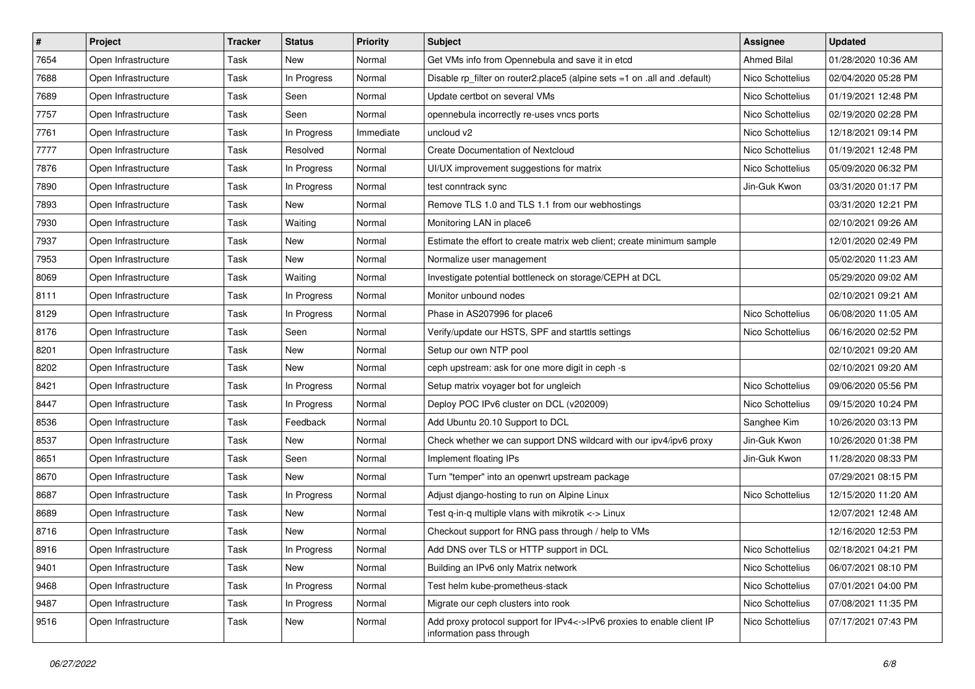| $\vert$ # | Project             | <b>Tracker</b> | <b>Status</b> | <b>Priority</b> | Subject                                                                                            | <b>Assignee</b>    | <b>Updated</b>      |
|-----------|---------------------|----------------|---------------|-----------------|----------------------------------------------------------------------------------------------------|--------------------|---------------------|
| 7654      | Open Infrastructure | Task           | New           | Normal          | Get VMs info from Opennebula and save it in etcd                                                   | <b>Ahmed Bilal</b> | 01/28/2020 10:36 AM |
| 7688      | Open Infrastructure | Task           | In Progress   | Normal          | Disable rp_filter on router2.place5 (alpine sets =1 on .all and .default)                          | Nico Schottelius   | 02/04/2020 05:28 PM |
| 7689      | Open Infrastructure | Task           | Seen          | Normal          | Update certbot on several VMs                                                                      | Nico Schottelius   | 01/19/2021 12:48 PM |
| 7757      | Open Infrastructure | Task           | Seen          | Normal          | opennebula incorrectly re-uses vncs ports                                                          | Nico Schottelius   | 02/19/2020 02:28 PM |
| 7761      | Open Infrastructure | Task           | In Progress   | Immediate       | uncloud v2                                                                                         | Nico Schottelius   | 12/18/2021 09:14 PM |
| 7777      | Open Infrastructure | Task           | Resolved      | Normal          | <b>Create Documentation of Nextcloud</b>                                                           | Nico Schottelius   | 01/19/2021 12:48 PM |
| 7876      | Open Infrastructure | Task           | In Progress   | Normal          | UI/UX improvement suggestions for matrix                                                           | Nico Schottelius   | 05/09/2020 06:32 PM |
| 7890      | Open Infrastructure | Task           | In Progress   | Normal          | test conntrack sync                                                                                | Jin-Guk Kwon       | 03/31/2020 01:17 PM |
| 7893      | Open Infrastructure | Task           | New           | Normal          | Remove TLS 1.0 and TLS 1.1 from our webhostings                                                    |                    | 03/31/2020 12:21 PM |
| 7930      | Open Infrastructure | Task           | Waiting       | Normal          | Monitoring LAN in place6                                                                           |                    | 02/10/2021 09:26 AM |
| 7937      | Open Infrastructure | Task           | New           | Normal          | Estimate the effort to create matrix web client; create minimum sample                             |                    | 12/01/2020 02:49 PM |
| 7953      | Open Infrastructure | Task           | New           | Normal          | Normalize user management                                                                          |                    | 05/02/2020 11:23 AM |
| 8069      | Open Infrastructure | Task           | Waiting       | Normal          | Investigate potential bottleneck on storage/CEPH at DCL                                            |                    | 05/29/2020 09:02 AM |
| 8111      | Open Infrastructure | Task           | In Progress   | Normal          | Monitor unbound nodes                                                                              |                    | 02/10/2021 09:21 AM |
| 8129      | Open Infrastructure | Task           | In Progress   | Normal          | Phase in AS207996 for place6                                                                       | Nico Schottelius   | 06/08/2020 11:05 AM |
| 8176      | Open Infrastructure | Task           | Seen          | Normal          | Verify/update our HSTS, SPF and starttls settings                                                  | Nico Schottelius   | 06/16/2020 02:52 PM |
| 8201      | Open Infrastructure | Task           | New           | Normal          | Setup our own NTP pool                                                                             |                    | 02/10/2021 09:20 AM |
| 8202      | Open Infrastructure | Task           | New           | Normal          | ceph upstream: ask for one more digit in ceph -s                                                   |                    | 02/10/2021 09:20 AM |
| 8421      | Open Infrastructure | Task           | In Progress   | Normal          | Setup matrix voyager bot for ungleich                                                              | Nico Schottelius   | 09/06/2020 05:56 PM |
| 8447      | Open Infrastructure | Task           | In Progress   | Normal          | Deploy POC IPv6 cluster on DCL (v202009)                                                           | Nico Schottelius   | 09/15/2020 10:24 PM |
| 8536      | Open Infrastructure | Task           | Feedback      | Normal          | Add Ubuntu 20.10 Support to DCL                                                                    | Sanghee Kim        | 10/26/2020 03:13 PM |
| 8537      | Open Infrastructure | Task           | New           | Normal          | Check whether we can support DNS wildcard with our ipv4/ipv6 proxy                                 | Jin-Guk Kwon       | 10/26/2020 01:38 PM |
| 8651      | Open Infrastructure | Task           | Seen          | Normal          | Implement floating IPs                                                                             | Jin-Guk Kwon       | 11/28/2020 08:33 PM |
| 8670      | Open Infrastructure | Task           | New           | Normal          | Turn "temper" into an openwrt upstream package                                                     |                    | 07/29/2021 08:15 PM |
| 8687      | Open Infrastructure | Task           | In Progress   | Normal          | Adjust django-hosting to run on Alpine Linux                                                       | Nico Schottelius   | 12/15/2020 11:20 AM |
| 8689      | Open Infrastructure | Task           | <b>New</b>    | Normal          | Test q-in-q multiple vlans with mikrotik <-> Linux                                                 |                    | 12/07/2021 12:48 AM |
| 8716      | Open Infrastructure | Task           | New           | Normal          | Checkout support for RNG pass through / help to VMs                                                |                    | 12/16/2020 12:53 PM |
| 8916      | Open Infrastructure | Task           | In Progress   | Normal          | Add DNS over TLS or HTTP support in DCL                                                            | Nico Schottelius   | 02/18/2021 04:21 PM |
| 9401      | Open Infrastructure | Task           | New           | Normal          | Building an IPv6 only Matrix network                                                               | Nico Schottelius   | 06/07/2021 08:10 PM |
| 9468      | Open Infrastructure | Task           | In Progress   | Normal          | Test helm kube-prometheus-stack                                                                    | Nico Schottelius   | 07/01/2021 04:00 PM |
| 9487      | Open Infrastructure | Task           | In Progress   | Normal          | Migrate our ceph clusters into rook                                                                | Nico Schottelius   | 07/08/2021 11:35 PM |
| 9516      | Open Infrastructure | Task           | New           | Normal          | Add proxy protocol support for IPv4<->IPv6 proxies to enable client IP<br>information pass through | Nico Schottelius   | 07/17/2021 07:43 PM |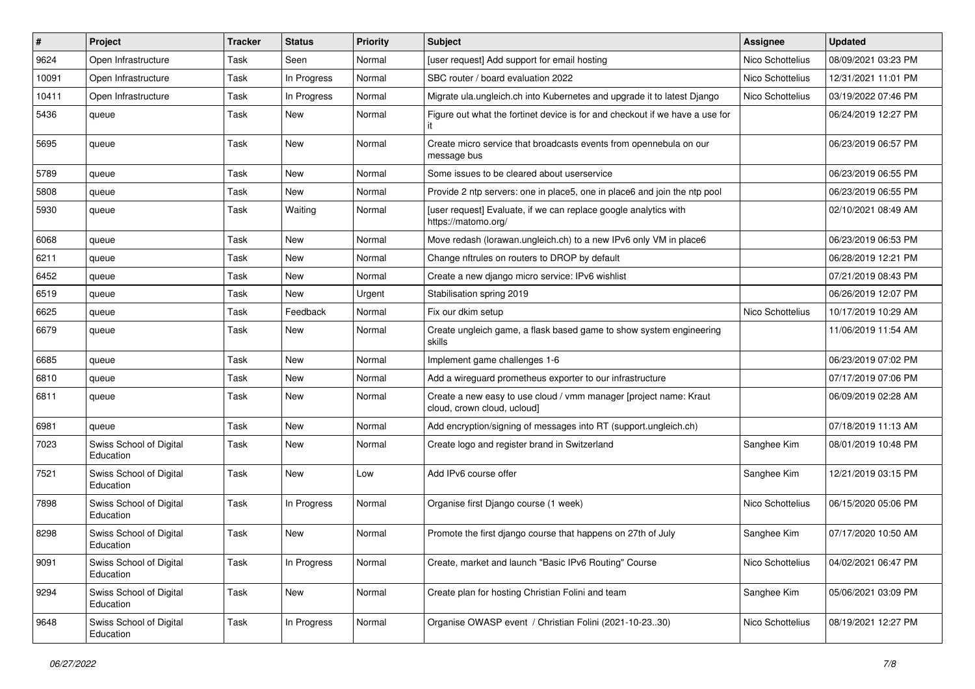| $\vert$ # | Project                              | <b>Tracker</b> | <b>Status</b> | <b>Priority</b> | Subject                                                                                          | <b>Assignee</b>  | <b>Updated</b>      |
|-----------|--------------------------------------|----------------|---------------|-----------------|--------------------------------------------------------------------------------------------------|------------------|---------------------|
| 9624      | Open Infrastructure                  | Task           | Seen          | Normal          | [user request] Add support for email hosting                                                     | Nico Schottelius | 08/09/2021 03:23 PM |
| 10091     | Open Infrastructure                  | Task           | In Progress   | Normal          | SBC router / board evaluation 2022                                                               | Nico Schottelius | 12/31/2021 11:01 PM |
| 10411     | Open Infrastructure                  | Task           | In Progress   | Normal          | Migrate ula.ungleich.ch into Kubernetes and upgrade it to latest Django                          | Nico Schottelius | 03/19/2022 07:46 PM |
| 5436      | queue                                | Task           | New           | Normal          | Figure out what the fortinet device is for and checkout if we have a use for                     |                  | 06/24/2019 12:27 PM |
| 5695      | queue                                | Task           | <b>New</b>    | Normal          | Create micro service that broadcasts events from opennebula on our<br>message bus                |                  | 06/23/2019 06:57 PM |
| 5789      | queue                                | Task           | <b>New</b>    | Normal          | Some issues to be cleared about userservice                                                      |                  | 06/23/2019 06:55 PM |
| 5808      | queue                                | Task           | New           | Normal          | Provide 2 ntp servers: one in place5, one in place6 and join the ntp pool                        |                  | 06/23/2019 06:55 PM |
| 5930      | queue                                | Task           | Waiting       | Normal          | [user request] Evaluate, if we can replace google analytics with<br>https://matomo.org/          |                  | 02/10/2021 08:49 AM |
| 6068      | queue                                | Task           | <b>New</b>    | Normal          | Move redash (lorawan.ungleich.ch) to a new IPv6 only VM in place6                                |                  | 06/23/2019 06:53 PM |
| 6211      | queue                                | Task           | New           | Normal          | Change nftrules on routers to DROP by default                                                    |                  | 06/28/2019 12:21 PM |
| 6452      | queue                                | Task           | New           | Normal          | Create a new django micro service: IPv6 wishlist                                                 |                  | 07/21/2019 08:43 PM |
| 6519      | queue                                | Task           | New           | Urgent          | Stabilisation spring 2019                                                                        |                  | 06/26/2019 12:07 PM |
| 6625      | queue                                | Task           | Feedback      | Normal          | Fix our dkim setup                                                                               | Nico Schottelius | 10/17/2019 10:29 AM |
| 6679      | queue                                | Task           | New           | Normal          | Create ungleich game, a flask based game to show system engineering<br>skills                    |                  | 11/06/2019 11:54 AM |
| 6685      | queue                                | Task           | New           | Normal          | Implement game challenges 1-6                                                                    |                  | 06/23/2019 07:02 PM |
| 6810      | queue                                | Task           | <b>New</b>    | Normal          | Add a wireguard prometheus exporter to our infrastructure                                        |                  | 07/17/2019 07:06 PM |
| 6811      | queue                                | Task           | New           | Normal          | Create a new easy to use cloud / vmm manager [project name: Kraut<br>cloud, crown cloud, ucloud] |                  | 06/09/2019 02:28 AM |
| 6981      | queue                                | Task           | New           | Normal          | Add encryption/signing of messages into RT (support.ungleich.ch)                                 |                  | 07/18/2019 11:13 AM |
| 7023      | Swiss School of Digital<br>Education | Task           | <b>New</b>    | Normal          | Create logo and register brand in Switzerland                                                    | Sanghee Kim      | 08/01/2019 10:48 PM |
| 7521      | Swiss School of Digital<br>Education | Task           | New           | Low             | Add IPv6 course offer                                                                            | Sanghee Kim      | 12/21/2019 03:15 PM |
| 7898      | Swiss School of Digital<br>Education | Task           | In Progress   | Normal          | Organise first Diango course (1 week)                                                            | Nico Schottelius | 06/15/2020 05:06 PM |
| 8298      | Swiss School of Digital<br>Education | Task           | New           | Normal          | Promote the first django course that happens on 27th of July                                     | Sanghee Kim      | 07/17/2020 10:50 AM |
| 9091      | Swiss School of Digital<br>Education | Task           | In Progress   | Normal          | Create, market and launch "Basic IPv6 Routing" Course                                            | Nico Schottelius | 04/02/2021 06:47 PM |
| 9294      | Swiss School of Digital<br>Education | Task           | New           | Normal          | Create plan for hosting Christian Folini and team                                                | Sanghee Kim      | 05/06/2021 03:09 PM |
| 9648      | Swiss School of Digital<br>Education | Task           | In Progress   | Normal          | Organise OWASP event / Christian Folini (2021-10-2330)                                           | Nico Schottelius | 08/19/2021 12:27 PM |